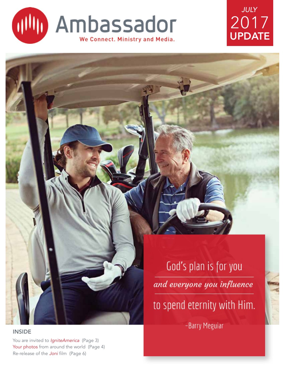





INSIDE

You are invited to *IgniteAmerica* (Page 3) Your photos from around the world (Page 4) Re-release of the *Joni* film (Page 6)

# God's plan is for you and everyone you influence to spend eternity with Him.

-Barry Meguiar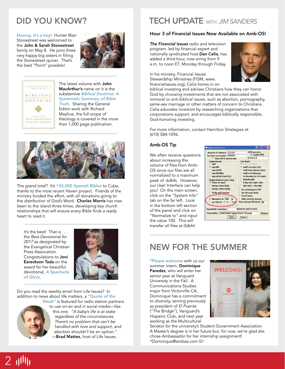Hooray, it's a boy! Hunter Blair Stonestreet was welcomed to the John & Sarah Stonestreet family on May 8. He joins three very happy big sisters in filling the Stonestreet quiver. That's the best "Point" possible!





The latest volume with **John** MacArthur's name on it is the substantive *Biblical Doctrine: A Systematic Summary of Bible Truth*. Sharing the General Editor work with Richard Mayhue, the full scope of theology is covered in the more than 1,000 page publication.



The grand total? It's 155,000 Spanish Bibles to Cuba, thanks to the most recent Haven project. Friends of the ministry funded the effort, with all donations going to the distribution of God's Word. Charles Morris has now been to the island three times, developing key church relationships that will ensure every Bible finds a ready heart to read it.

It's the best! That is . . . the *Best Devotional for 2017* as designated by the Evangelical Christian Press Association. Congratulations to Joni Eareckson Tada on the award for her beautiful devotional, *A Spectacle of Glory*.



Do you read the weekly email from Life Issues? In addition to news about life matters, a "Quote of the



Week" is featured for radio station partners to use on-air and in social media—like this one: *"A baby's life is at stake regardless of the circumstances. There's no problem that can't be handled with love and support, and abortion shouldn't be an option.''* -Brad Mattes, host of Life Issues.

## DID YOU KNOW? TECH UPDATE WITH *JIM SANDERS*

#### Hour 3 of Financial Issues Now Available on Amb-OS!

*The Financial Issues* radio and television program, led by financial expert and nationally syndicated host Dan Celia, has added a third hour, now airing from 9 a.m. to noon ET, Monday through Friday.

In his ministry, Financial Issues Stewardship Ministries (FISM, www. financialissues.org), Celia hones in on



biblical investing and advises Christians how they can honor God by choosing investments that are not associated with immoral or anti-biblical issues, such as abortion, pornography, same-sex marriage or other matters of concern to Christians. Celia educates investors by researching organizations that corporations support, and encourages biblically responsible, God-honoring investing.

For more information, contact Hamilton Strategies at (610) 584-1096.

#### Amb-OS Tip

We often receive questions about increasing the volume of files from Amb-OS since our files are all normalized to a maximum peak of -6dbfs. However, our User Interface can help you! On the main screen, click on the "System Info" tab on the far left. Look in the bottom left section of the panel and click on "Normalize to" and input the value 100. This will transfer all files at 0dbfs!



### NEW FOR THE SUMMER

\*Please welcome with us our summer intern, Dominique Paredes, who will enter her senior year at Vanguard University in the Fall. A Communications Studies major from Victorville CA, Dominique has a commitment to diversity, serving previously as president of *El Puente* ("The Bridge"), Vanguard's Hispanic Club, and next year working as the Multicultural



Senator for the university's Student Government Association. A Master's degree is in her future but, for now, we're glad she chose Ambassador for her internship assignment! *\*Dominique@ambaa.com* J*!*

# $2$   $1$ <sup> $1$ </sup> $1$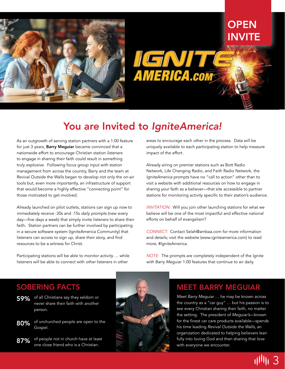

## **OPEN** INVITE

**AMERICA.com** 

## You are Invited to *IgniteAmerica!*

As an outgrowth of serving station partners with a 1:00 feature for just 3 years, **Barry Mequiar** became convinced that a nationwide effort to encourage Christian station *listeners* to engage in sharing their faith could result in something truly *explosive*. Following focus group input with station management from across the country, Barry and the team at Revival Outside the Walls began to develop not only the on-air tools but, even more importantly, an infrastructure of support that would become a highly effective "connecting point" for those motivated to get involved.

Already launched on pilot outlets, stations can sign up *now* to *immediately* receive :30s and :15s *daily prompts* (new every day—five days a week) that simply invite listeners to share their faith. Station partners can be further involved by participating in a secure software system (IgniteAmerica Community) that listeners can access to sign up, share their story, and find resources to be a witness for Christ.

Participating stations will be able to monitor activity … while listeners will be able to connect with *other* listeners in other

areas to encourage each other in the process. Data will be uniquely available to each participating station to help measure impact of the effort.

Already airing on premier stations such as Bott Radio Network, Life Changing Radio, and Faith Radio Network, the *IgniteAmerica* prompts have no "call to action" other than to visit a website with additional resources on how to engage in sharing your faith as a believer—that site accessible to partner stations for monitoring activity specific to their station's audience.

*INVITATION:* Will you join other launching stations for what we believe will be one of the most impactful and effective national efforts on behalf of evangelism?

*CONNECT:* Contact Selah@ambaa.com for more information and details; visit the website (www.igniteamerica.com) to read more; #IgniteAmerica.



#### *NOTE:* The prompts are completely independent of the *Ignite with Barry Meguiar* 1:00 features that continue to air daily.

#### MEET BARRY MEGUIAR

the country as a "car guy" … but his passion is to see every Christian sharing their faith, no matter the setting. The president of *Meguiar's*—known for the finest car care products available—spends his time leading *Revival Outside the Walls*, an organization dedicated to helping believers lean fully into loving God and then sharing that love with everyone we encounter.

### SOBERING FACTS

- **59%** of all Christians say they seldom or never share their faith with another person.
- of unchurched people are open to the Gospel. 80%
- $87\%$  of people not in church have at least  $\frac{87}{\sqrt{2}}$ one close friend who is a Christian.

3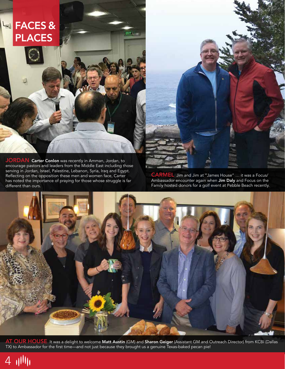## FACES & PLACES

JORDAN Carter Conlon was recently in Amman, Jordan, to encourage pastors and leaders from the Middle East including those serving in Jordan, Israel, Palestine, Lebanon, Syria, Iraq and Egypt. Reflecting on the opposition these men and women face, Carter has noted the importance of praying for those whose struggle is far different than ours.



CARMEL Jim and Jim at "James House" … it was a Focus/ Ambassador encounter again when Jim Daly and Focus on the Family hosted donors for a golf event at Pebble Beach recently.



 $ext$ ,  $-$ 

AT OUR HOUSE It was a delight to welcome Matt Austin (GM) and Sharon Geiger (Assistant GM and Outreach Director) from KCBI (Dallas TX) to Ambassador for the first time—and not just because they brought us a genuine Texas-baked pecan pie!

4 11111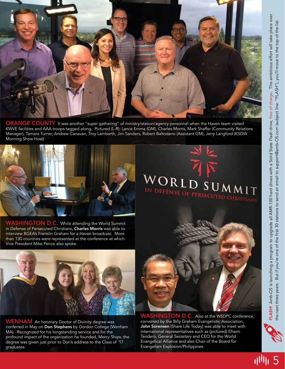

ORANGE COUNTY It was another "super gathering" of ministry/station/agency personnel when the Haven team visited KWVE facilities and AAA troops tagged along. Pictured (L-R): Lance Emma (GM), Charles Morris, Mark Shaffer (Community Relations Manager), Tamara Turner, Andrew Canavan, Troy Lamberth, Jim Sanders, Robert Baltodano (Assistant GM), Jerry Langford (KSDW Morning Show Host)



WASHINGTON D.C. While attending the World Summit in Defense of Persecuted Christians, Charles Morris was able to interview BGEA's Franklin Graham for a Haven broadcast. More than 130 countries were represented at the conference at which Vice President Mike Pence also spoke.



WENHAM An honorary Doctor of Divinity degree was conferred in May on Don Stephens by Gordon College (Wenham MA). Recognized for his longstanding service and for the profound impact of the organization he founded, Mercy Ships, the degree was given just prior to Don's address to the Class of '17 graduates.



 $\mathcal{C}$ 

DEFENSE OF PERSECUTED CHRISTIANS

 $SUMM1T$ 

WORLI

**HINGTON D.C.** Also at the WSDPC conference, convened by the Billy Graham Evangelistic Association, John Sorensen (Share Life Today) was able to meet with international representatives such as (pictured) Efraim Tendero, General Secretary and CEO for the World Evangelical Alliance and also Chair of the Board for Evangelism Explosion/Philippines.

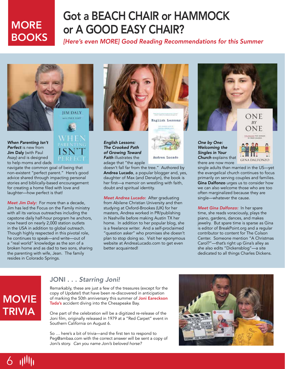## **MORE BOOKS**

## Got a BEACH CHAIR or HAMMOCK or A GOOD EASY CHAIR?

*[Here's even MORE] Good Reading Recommendations for this Summer*



*When Parenting Isn't Perfect* is new from Jim Daly (with Paul Asay) and is designed to help moms and dads



navigate the common goal of being that non-existent "perfect parent." Here's good advice shared through impacting personal stories and biblically-based encouragement for creating a home filed with love and laughter—how perfect is that!

*Meet Jim Daly:* For more than a decade, Jim has led the Focus on the Family ministry with all its various outreaches including the capstone daily half-hour program he anchors, now heard on nearly 2,000 station outlets in the USA in addition to global outreach. Though highly respected in this pivotal role, he continues to speak—and write—out of a "real world" knowledge as the son of a broken home and as dad to two sons, sharing the parenting with wife, Jean. The family resides in Colorado Springs.



*English Lessons: The Crooked Path of Growing Toward Faith* illustrates the adage that "the apple

Andrea Lucado

doesn't fall far from the tree." Authored by Andrea Lucado, a popular blogger and, yes, daughter of Max (and Denalyn), the book is her first—a memoir on wrestling with faith, doubt and spiritual identity.

*Meet Andrea Lucado:* After graduating from Abilene Christian University and then studying at Oxford-Brookes (UK) for her masters, Andrea worked in PR/publishing in Nashville before making Austin TX her home. In addition to her popular blog, she is a freelance writer. And a self-proclaimed "question asker" who promises she doesn't plan to stop doing so. Visit her eponymous website at AndreaLucado.com to get even better acquainted!



*Singles in Your Church* explains that there are now more



single adults than married in the US—yet the evangelical church continues to focus primarily on serving couples and families. Gina Dalfonzo urges us to consider how we can also welcome those who are too often marginalized because they are single—whatever the cause.

*Meet Gina Dalfonzo:* In her spare time, she reads voraciously, plays the piano, gardens, dances, and makes jewelry. But spare time is sparse as Gina is editor of BreakPoint.org and a regular contributor to content for The Colson Center. Someone mention "A Christmas Carol?"—that's right up Gina's alley as she also edits "Dickensblog"—a site dedicated to all things Charles Dickens.

## **MOVIE** TRIVIA

#### JONI . . . *Starring Joni!*

Remarkably, these are just a few of the treasures (except for the copy of Update!) that have been re-discovered in anticipation of marking the 50th anniversary this summer of Joni Eareckson Tada's accident diving into the Chesapeake Bay.

One part of the celebration will be a digitized re-release of the Joni film, originally released in 1979 at a "Red Carpet" event in Southern California on August 6.

So … here's a bit of trivia—and the first ten to respond to Peg@ambaa.com with the correct answer will be sent a copy of Joni's story. *Can you name Joni's beloved horse?*

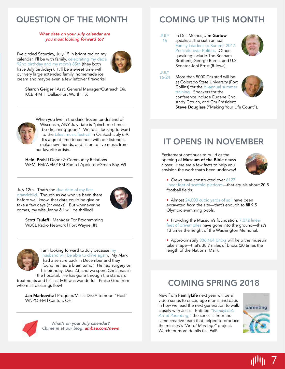### QUESTION OF THE MONTH COMING UP THIS MONTH

#### *What date on your July calendar are you most looking forward to?*

I've circled Saturday, July 15 in bright red on my calendar. I'll be with family, celebrating my dad's 92nd birthday and my mom's 85th (they both have July birthdays). It'll be a sweet time with our very large extended family, homemade ice cream and maybe even a few leftover fireworks!



Sharon Geiger | Asst. General Manager/Outreach Dir. KCBI-FM | Dallas-Fort Worth, TX



When you live in the dark, frozen tundraland of Wisconsin, ANY July date is "pinch-me-I-mustbe-dreaming-good!" We're all looking forward to the Lifest music festival in Oshkosh July 6-9. It's a great time to connect with our listeners, make new friends, and listen to live music from our favorite artists.

Heidi Prahl | Donor & Community Relations WEMI-FM/WEMY-FM Radio | Appleton/Green Bay, WI

July 12th. That's the due date of my first grandchild. Though as we who've been there before well know, that date could be give or take a few days (or weeks). But whenever he comes, my wife Jenny & I will be thrilled!



Scott Tsuleff | Manager For Programming WBCL Radio Network | Fort Wayne, IN



I am looking forward to July because my husband will be able to drive again. My Mark had a seizure back in December and they found he had a brain tumor. He had surgery on his birthday, Dec. 23, and we spent Christmas in the hospital. He has gone through the standard

treatments and his last MRI was wonderful. Praise God from whom all blessings flow!

Jan Markowitz | Program/Music Dir./Afternoon "Host" WNPQ-FM | Canton, OH



*What's on your July calendar? Chime in at our blog: ambaa.com/news*

JULY 15 In Des Moines, Jim Garlow speaks at the sixth annual Family Leadership Summit 2017: Principle over Politics. Others speaking include The Benham Brothers, George Barna, and U.S. Senator Joni Ernst (R-Iowa).



JULY 16-24

More than 5000 Cru staff will be at Colorado State University (Fort Collins) for the bi-annual summer training. Speakers for the conference include Eugene Cho, Andy Crouch, and Cru President Steve Douglass ("Making Your Life Count").



### IT OPENS IN NOVEMBER

Excitement continues to build as the opening of Museum of the Bible draws closer. Here are a few facts to help you envision the work that's been underway!



• Crews have constructed over 6127

linear feet of scaffold platform—that equals about 20.5 football fields.

- Almost 24,000 cubic yards of soil have been excavated from the site—that's enough to fill 9.5 Olympic swimming pools.
- Providing the Museum's foundation, 7,072 linear feet of driven piles have gone into the ground—that's 13 times the height of the Washington Memorial.

• Approximately 306,464 bricks will help the museum take shape—that's 38.7 miles of bricks (20 times the length of the National Mall).

### COMING SPRING 2018

New from FamilyLife next year will be a video series to encourage moms and dads in how we lead the next generation to walk closely with Jesus. Entitled *"FamilyLife's Art of Parenting,"* the series is from the same creative team that helped to produce the ministry's *"Art of Marriage"* project. Watch for more details this Fall!



7